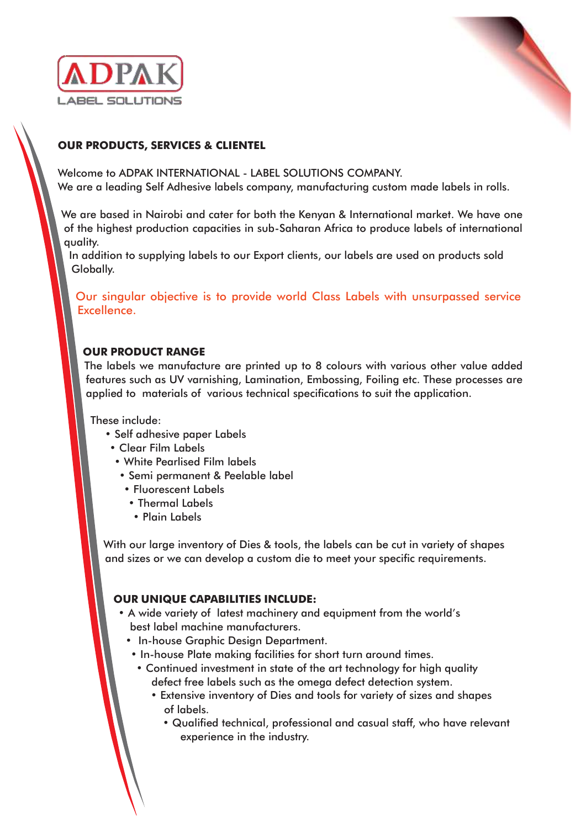



# **OUR PRODUCTS, SERVICES & CLIENTEL**

Welcome to ADPAK INTERNATIONAL - LABEL SOLUTIONS COMPANY. We are a leading Self Adhesive labels company, manufacturing custom made labels in rolls.

We are based in Nairobi and cater for both the Kenyan & International market. We have one of the highest production capacities in sub-Saharan Africa to produce labels of international quality.

In addition to supplying labels to our Export clients, our labels are used on products sold Globally.

Our singular objective is to provide world Class Labels with unsurpassed service Excellence.

## **OUR PRODUCT RANGE**

The labels we manufacture are printed up to 8 colours with various other value added features such as UV varnishing, Lamination, Embossing, Foiling etc. These processes are applied to materials of various technical specifications to suit the application.

These include:

- Self adhesive paper Labels
- Clear Film Labels
- White Pearlised Film labels
- Semi permanent & Peelable label
- Fluorescent Labels
- Thermal Labels
- Plain Labels

With our large inventory of Dies & tools, the labels can be cut in variety of shapes and sizes or we can develop a custom die to meet your specific requirements.

### **OUR UNIQUE CAPABILITIES INCLUDE:**

- A wide variety of latest machinery and equipment from the world's best label machine manufacturers.
	- In-house Graphic Design Department.
	- In-house Plate making facilities for short turn around times.
		- Continued investment in state of the art technology for high quality defect free labels such as the omega defect detection system.
			- Extensive inventory of Dies and tools for variety of sizes and shapes of labels.
				- Qualified technical, professional and casual staff, who have relevant experience in the industry.